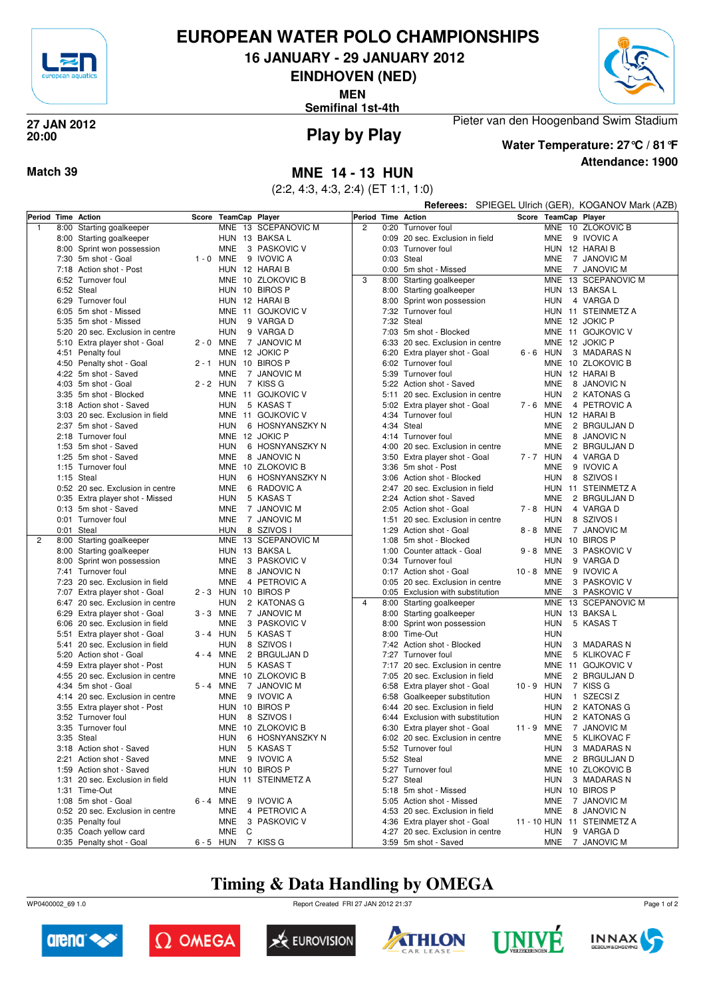

# **EUROPEAN WATER POLO CHAMPIONSHIPS**

**16 JANUARY - 29 JANUARY 2012**

**EINDHOVEN (NED)**

**MEN**

**Semifinal 1st-4th**



#### **Play by Play 27 JAN 2012 20:00**

**Attendance: 1900 Water Temperature: 27°C / 81°F**

Pieter van den Hoogenband Swim Stadium

**Referees:** SPIEGEL Ulrich (GER), KOGANOV Mark (AZB)

### **Match 39 MNE 14 - 13 HUN**

(2:2, 4:3, 4:3, 2:4) (ET 1:1, 1:0)

|   |      | Period Time Action                           |             | Score TeamCap Player |                     |                |      | Period Time Action               |             | Score TeamCap Player |                            |
|---|------|----------------------------------------------|-------------|----------------------|---------------------|----------------|------|----------------------------------|-------------|----------------------|----------------------------|
| 1 | 8:00 | Starting goalkeeper                          |             |                      | MNE 13 SCEPANOVIC M | $\overline{c}$ |      | 0:20 Turnover foul               |             |                      | MNE 10 ZLOKOVIC B          |
|   |      | 8:00 Starting goalkeeper                     |             | HUN 13 BAKSA L       |                     |                |      | 0:09 20 sec. Exclusion in field  |             | <b>MNE</b>           | 9 IVOVIC A                 |
|   |      | 8:00 Sprint won possession                   |             | <b>MNE</b>           | 3 PASKOVIC V        |                |      | 0:03 Turnover foul               |             |                      | HUN 12 HARAI B             |
|   |      | 7:30 5m shot - Goal                          | 1 - 0 MNE   |                      | 9 IVOVIC A          |                |      | 0:03 Steal                       |             | MNE                  | 7 JANOVIC M                |
|   |      | 7:18 Action shot - Post                      |             | HUN 12 HARAI B       |                     |                |      | 0:00 5m shot - Missed            |             | <b>MNE</b>           | 7 JANOVIC M                |
|   |      | 6:52 Turnover foul                           |             |                      | MNE 10 ZLOKOVIC B   | 3              |      | 8:00 Starting goalkeeper         |             |                      | MNE 13 SCEPANOVIC M        |
|   |      | 6:52 Steal                                   |             | HUN 10 BIROS P       |                     |                |      | 8:00 Starting goalkeeper         |             |                      | HUN 13 BAKSA L             |
|   |      | 6:29 Turnover foul                           |             | HUN 12 HARAI B       |                     |                |      | 8:00 Sprint won possession       |             | HUN                  | 4 VARGA D                  |
|   |      | 6:05 5m shot - Missed                        |             |                      | MNE 11 GOJKOVIC V   |                |      | 7:32 Turnover foul               |             |                      | HUN 11 STEINMETZ A         |
|   |      | 5:35 5m shot - Missed                        |             | <b>HUN</b>           | 9 VARGA D           |                |      | 7:32 Steal                       |             |                      | MNE 12 JOKIC P             |
|   |      | 5:20 20 sec. Exclusion in centre             |             | <b>HUN</b>           | 9 VARGA D           |                |      | 7:03 5m shot - Blocked           |             |                      | MNE 11 GOJKOVIC V          |
|   |      | 5:10 Extra player shot - Goal                | 2 - 0 MNE   |                      | 7 JANOVIC M         |                |      | 6:33 20 sec. Exclusion in centre |             |                      | MNE 12 JOKIC P             |
|   |      | 4:51 Penalty foul                            |             | MNE 12 JOKIC P       |                     |                | 6:20 | Extra player shot - Goal         | $6 - 6$ HUN |                      | 3 MADARAS N                |
|   |      | 4:50 Penalty shot - Goal                     |             | 2-1 HUN 10 BIROS P   |                     |                |      | 6:02 Turnover foul               |             |                      | MNE 10 ZLOKOVIC B          |
|   |      | 4:22 5m shot - Saved                         |             | <b>MNE</b>           | 7 JANOVIC M         |                |      | 5:39 Turnover foul               |             |                      | HUN 12 HARAIB              |
|   |      | $4:03$ 5m shot - Goal                        | $2 - 2$ HUN |                      | 7 KISS G            |                |      | 5:22 Action shot - Saved         |             | <b>MNE</b>           | 8 JANOVIC N                |
|   |      | 3:35 5m shot - Blocked                       |             |                      | MNE 11 GOJKOVIC V   |                | 5:11 | 20 sec. Exclusion in centre      |             | HUN                  | 2 KATONAS G                |
|   |      | 3:18 Action shot - Saved                     |             | HUN                  | 5 KASAS T           |                |      | 5:02 Extra player shot - Goal    | 7-6 MNE     |                      | 4 PETROVIC A               |
|   |      | 3:03 20 sec. Exclusion in field              |             |                      | MNE 11 GOJKOVIC V   |                |      | 4:34 Turnover foul               |             |                      | HUN 12 HARAIB              |
|   |      | 2:37 5m shot - Saved                         |             | <b>HUN</b>           | 6 HOSNYANSZKY N     |                |      | 4:34 Steal                       |             | MNE                  | 2 BRGULJAN D               |
|   |      |                                              |             |                      |                     |                |      |                                  |             |                      |                            |
|   |      | 2:18 Turnover foul                           |             | MNE 12 JOKIC P       |                     |                |      | 4:14 Turnover foul               |             | MNE                  | 8 JANOVIC N                |
|   |      | 1:53 5m shot - Saved<br>1:25 5m shot - Saved |             | HUN                  | 6 HOSNYANSZKY N     |                |      | 4:00 20 sec. Exclusion in centre |             | <b>MNE</b>           | 2 BRGULJAN D<br>4 VARGA D  |
|   |      |                                              |             | <b>MNE</b>           | 8 JANOVIC N         |                |      | 3:50 Extra player shot - Goal    | 7-7 HUN     |                      |                            |
|   |      | 1:15 Turnover foul                           |             |                      | MNE 10 ZLOKOVIC B   |                |      | 3:36 5m shot - Post              |             | <b>MNE</b>           | 9 IVOVIC A                 |
|   |      | 1:15 Steal                                   |             | <b>HUN</b>           | 6 HOSNYANSZKY N     |                |      | 3:06 Action shot - Blocked       |             | HUN                  | 8 SZIVOS I                 |
|   |      | 0:52 20 sec. Exclusion in centre             |             | <b>MNE</b>           | 6 RADOVIC A         |                |      | 2:47 20 sec. Exclusion in field  |             |                      | HUN 11 STEINMETZ A         |
|   |      | 0:35 Extra player shot - Missed              |             | <b>HUN</b>           | 5 KASAS T           |                |      | 2:24 Action shot - Saved         |             | MNE                  | 2 BRGULJAN D               |
|   |      | 0:13 5m shot - Saved                         |             | <b>MNE</b>           | 7 JANOVIC M         |                |      | 2:05 Action shot - Goal          | 7-8 HUN     |                      | 4 VARGA D                  |
|   |      | 0:01 Turnover foul                           |             | <b>MNE</b>           | 7 JANOVIC M         |                |      | 1:51 20 sec. Exclusion in centre |             | HUN                  | 8 SZIVOS I                 |
|   |      | 0:01 Steal                                   |             | <b>HUN</b>           | 8 SZIVOS I          |                |      | 1:29 Action shot - Goal          | 8 - 8 MNE   |                      | 7 JANOVIC M                |
| 2 | 8:00 | Starting goalkeeper                          |             |                      | MNE 13 SCEPANOVIC M |                |      | 1:08 5m shot - Blocked           |             |                      | HUN 10 BIROS P             |
|   |      | 8:00 Starting goalkeeper                     |             | HUN 13 BAKSA L       |                     |                |      | 1:00 Counter attack - Goal       | 9-8 MNE     |                      | 3 PASKOVIC V               |
|   |      | 8:00 Sprint won possession                   |             | <b>MNE</b>           | 3 PASKOVIC V        |                |      | 0:34 Turnover foul               |             | <b>HUN</b>           | 9 VARGA D                  |
|   |      | 7:41 Turnover foul                           |             | <b>MNE</b>           | 8 JANOVIC N         |                |      | 0:17 Action shot - Goal          | 10 - 8 MNE  |                      | 9 IVOVIC A                 |
|   |      | 7:23 20 sec. Exclusion in field              |             | <b>MNE</b>           | 4 PETROVIC A        |                |      | 0:05 20 sec. Exclusion in centre |             | MNE                  | 3 PASKOVIC V               |
|   |      | 7:07 Extra player shot - Goal                |             | 2-3 HUN 10 BIROS P   |                     |                |      | 0:05 Exclusion with substitution |             | MNE                  | 3 PASKOVIC V               |
|   |      | 6:47 20 sec. Exclusion in centre             |             | <b>HUN</b>           | 2 KATONAS G         | $\overline{4}$ |      | 8:00 Starting goalkeeper         |             |                      | MNE 13 SCEPANOVIC M        |
|   |      | 6:29 Extra player shot - Goal                | 3-3 MNE     |                      | 7 JANOVIC M         |                |      | 8:00 Starting goalkeeper         |             |                      | HUN 13 BAKSA L             |
|   | 6:06 | 20 sec. Exclusion in field                   |             | <b>MNE</b>           | 3 PASKOVIC V        |                | 8:00 | Sprint won possession            |             | <b>HUN</b>           | 5 KASAS T                  |
|   | 5:51 | Extra player shot - Goal                     | $3 - 4$ HUN |                      | 5 KASAS T           |                |      | 8:00 Time-Out                    |             | <b>HUN</b>           |                            |
|   |      | 5:41 20 sec. Exclusion in field              |             | <b>HUN</b>           | 8 SZIVOS I          |                |      | 7:42 Action shot - Blocked       |             | HUN                  | 3 MADARAS N                |
|   |      | 5:20 Action shot - Goal                      | 4 - 4 MNE   |                      | 2 BRGULJAN D        |                |      | 7:27 Turnover foul               |             | MNE                  | 5 KLIKOVAC F               |
|   |      | 4:59 Extra player shot - Post                |             | HUN                  | 5 KASAS T           |                |      | 7:17 20 sec. Exclusion in centre |             |                      | MNE 11 GOJKOVIC V          |
|   |      | 4:55 20 sec. Exclusion in centre             |             |                      | MNE 10 ZLOKOVIC B   |                |      | 7:05 20 sec. Exclusion in field  |             | <b>MNE</b>           | 2 BRGULJAN D               |
|   |      | 4:34 5m shot - Goal                          | 5-4 MNE     |                      | 7 JANOVIC M         |                |      | 6:58 Extra player shot - Goal    | 10 - 9 HUN  |                      | 7 KISS G                   |
|   |      | 4:14 20 sec. Exclusion in centre             |             | <b>MNE</b>           | 9 IVOVIC A          |                |      | 6:58 Goalkeeper substitution     |             | <b>HUN</b>           | 1 SZECSIZ                  |
|   |      | 3:55 Extra player shot - Post                |             | HUN 10 BIROS P       |                     |                |      | 6:44 20 sec. Exclusion in field  |             | <b>HUN</b>           | 2 KATONAS G                |
|   |      | 3:52 Turnover foul                           |             | HUN                  | 8 SZIVOS I          |                |      | 6:44 Exclusion with substitution |             | HUN                  | 2 KATONAS G                |
|   |      | 3:35 Turnover foul                           |             |                      | MNE 10 ZLOKOVIC B   |                |      | 6:30 Extra player shot - Goal    | 11 - 9 MNE  |                      | 7 JANOVIC M                |
|   |      | 3:35 Steal                                   |             | HUN                  | 6 HOSNYANSZKY N     |                |      | 6:02 20 sec. Exclusion in centre |             | <b>MNE</b>           | 5 KLIKOVAC F               |
|   |      | 3:18 Action shot - Saved                     |             | HUN 5 KASAS T        |                     |                |      | 5:52 Turnover foul               |             | HUN                  | 3 MADARAS N                |
|   |      | 2:21 Action shot - Saved                     |             | MNE                  | 9 IVOVIC A          |                |      | 5:52 Steal                       |             | <b>MNE</b>           | 2 BRGULJAN D               |
|   |      | 1:59 Action shot - Saved                     |             | HUN 10 BIROS P       |                     |                |      | 5:27 Turnover foul               |             |                      | MNE 10 ZLOKOVIC B          |
|   |      | 1:31 20 sec. Exclusion in field              |             |                      | HUN 11 STEINMETZ A  |                |      | 5:27 Steal                       |             | HUN                  | 3 MADARAS N                |
|   |      | 1:31 Time-Out                                |             | <b>MNE</b>           |                     |                |      | 5:18 5m shot - Missed            |             |                      | HUN 10 BIROS P             |
|   |      | 1:08 5m shot - Goal                          | 6 - 4 MNE   |                      | 9 IVOVIC A          |                |      | 5:05 Action shot - Missed        |             | MNE                  | 7 JANOVIC M                |
|   |      | 0:52 20 sec. Exclusion in centre             |             | MNE                  | 4 PETROVIC A        |                |      | 4:53 20 sec. Exclusion in field  |             | MNE                  | 8 JANOVIC N                |
|   |      | 0:35 Penalty foul                            |             | <b>MNE</b>           | 3 PASKOVIC V        |                |      | 4:36 Extra player shot - Goal    |             |                      | 11 - 10 HUN 11 STEINMETZ A |
|   |      | 0:35 Coach yellow card                       |             | MNE<br>C             |                     |                |      | 4:27 20 sec. Exclusion in centre |             | HUN                  | 9 VARGA D                  |
|   |      | 0:35 Penalty shot - Goal                     |             | 6-5 HUN              | 7 KISS G            |                |      | 3:59 5m shot - Saved             |             |                      | MNE 7 JANOVIC M            |

# **Timing & Data Handling by OMEGA**

WP0400002\_69 1.0 Report Created FRI 27 JAN 2012 21:37













Page 1 of 2